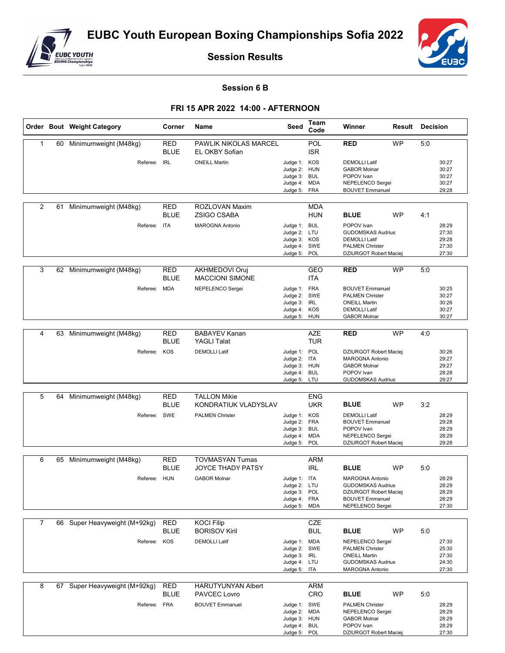

**Session Results**



**Session 6 B**

## **FRI 15 APR 2022 14:00 - AFTERNOON**

|                |    | Order Bout Weight Category    | Corner                    | Name                                            | Seed                                                                         | Team<br>Code             | Winner                                                                                                                     | Result    | Decision |                                           |
|----------------|----|-------------------------------|---------------------------|-------------------------------------------------|------------------------------------------------------------------------------|--------------------------|----------------------------------------------------------------------------------------------------------------------------|-----------|----------|-------------------------------------------|
| 1              | 60 | Minimumweight (M48kg)         | <b>RED</b><br><b>BLUE</b> | PAWLIK NIKOLAS MARCEL<br>EL OKBY Sofian         |                                                                              | <b>POL</b><br><b>ISR</b> | <b>RED</b>                                                                                                                 | <b>WP</b> | 5:0      |                                           |
|                |    | Referee: IRL                  |                           | <b>ONEILL Martin</b>                            | Judge 1: KOS<br>Judge 2: HUN<br>Judge 3: BUL<br>Judge 4: MDA<br>Judge 5: FRA |                          | <b>DEMOLLI Latif</b><br><b>GABOR Molnar</b><br>POPOV Ivan<br>NEPELENCO Sergei<br><b>BOUVET Emmanuel</b>                    |           |          | 30:27<br>30:27<br>30:27<br>30:27<br>29:28 |
| 2              | 61 | Minimumweight (M48kg)         | <b>RED</b><br><b>BLUE</b> | ROZLOVAN Maxim<br><b>ZSIGO CSABA</b>            |                                                                              | <b>MDA</b><br><b>HUN</b> | <b>BLUE</b>                                                                                                                | <b>WP</b> | 4:1      |                                           |
|                |    | Referee: ITA                  |                           | <b>MAROGNA Antonio</b>                          | Judge 1: BUL<br>Judge 2: LTU<br>Judge 3: KOS<br>Judge 4: SWE<br>Judge 5:     | POL                      | POPOV Ivan<br><b>GUDOMSKAS Audrius</b><br><b>DEMOLLI Latif</b><br><b>PALMEN Christer</b><br>DZIURGOT Robert Maciej         |           |          | 28:29<br>27:30<br>29:28<br>27:30<br>27:30 |
| 3              |    | 62 Minimumweight (M48kg)      | RED<br><b>BLUE</b>        | <b>AKHMEDOVI Oruj</b><br><b>MACCIONI SIMONE</b> |                                                                              | <b>GEO</b><br><b>ITA</b> | <b>RED</b>                                                                                                                 | <b>WP</b> | 5:0      |                                           |
|                |    | Referee: MDA                  |                           | NEPELENCO Sergei                                | Judge 1: FRA<br>Judge 2: SWE<br>Judge 3: IRL<br>Judge 4: KOS<br>Judge 5: HUN |                          | <b>BOUVET Emmanuel</b><br><b>PALMEN Christer</b><br><b>ONEILL Martin</b><br><b>DEMOLLI Latif</b><br><b>GABOR Molnar</b>    |           |          | 30:25<br>30:27<br>30:26<br>30:27<br>30:27 |
| 4              | 63 | Minimumweight (M48kg)         | RED<br><b>BLUE</b>        | <b>BABAYEV Kanan</b><br><b>YAGLI Talat</b>      |                                                                              | <b>AZE</b><br><b>TUR</b> | <b>RED</b>                                                                                                                 | <b>WP</b> | 4:0      |                                           |
|                |    | Referee:                      | KOS                       | <b>DEMOLLI Latif</b>                            | Judge 1: POL<br>Judge 2: ITA<br>Judge 3: HUN<br>Judge 4: BUL<br>Judge 5: LTU |                          | <b>DZIURGOT Robert Maciej</b><br><b>MAROGNA Antonio</b><br><b>GABOR Molnar</b><br>POPOV Ivan<br><b>GUDOMSKAS Audrius</b>   |           |          | 30:26<br>29:27<br>29:27<br>28:28<br>29:27 |
|                |    |                               |                           |                                                 |                                                                              |                          |                                                                                                                            |           |          |                                           |
| 5              | 64 | Minimumweight (M48kg)         | <b>RED</b><br><b>BLUE</b> | <b>TALLON Mikie</b><br>KONDRATIUK VLADYSLAV     |                                                                              | <b>ENG</b><br><b>UKR</b> | <b>BLUE</b>                                                                                                                | <b>WP</b> | 3:2      |                                           |
|                |    | Referee: SWE                  |                           | <b>PALMEN Christer</b>                          | Judge 1: KOS<br>Judge 2: FRA<br>Judge 3: BUL<br>Judge 4: MDA<br>Judge 5: POL |                          | <b>DEMOLLI Latif</b><br><b>BOUVET Emmanuel</b><br>POPOV Ivan<br>NEPELENCO Sergei<br>DZIURGOT Robert Maciej                 |           |          | 28:29<br>29:28<br>28:29<br>28:29<br>29:28 |
|                |    |                               |                           |                                                 |                                                                              |                          |                                                                                                                            |           |          |                                           |
| 6              | 65 | Minimumweight (M48kg)         | RED<br><b>BLUE</b>        | <b>TOVMASYAN Tumas</b><br>JOYCE THADY PATSY     |                                                                              | ARM<br><b>IRL</b>        | <b>BLUE</b>                                                                                                                | <b>WP</b> | 5:0      |                                           |
|                |    | Referee: HUN                  |                           | <b>GABOR Molnar</b>                             | Judge 1: ITA<br>Judge 2: LTU<br>Judge 3: POL<br>Judge 4: FRA<br>Judge 5: MDA |                          | MAROGNA Antonio<br><b>GUDOMSKAS Audrius</b><br><b>DZIURGOT Robert Maciej</b><br><b>BOUVET Emmanuel</b><br>NEPELENCO Sergei |           |          | 28:29<br>28:29<br>28:29<br>28:29<br>27:30 |
| $\overline{7}$ |    | 66 Super Heavyweight (M+92kg) | RED                       | <b>KOCI Filip</b>                               |                                                                              | CZE                      |                                                                                                                            |           |          |                                           |
|                |    |                               | <b>BLUE</b>               | <b>BORISOV Kiril</b>                            |                                                                              | <b>BUL</b>               | <b>BLUE</b>                                                                                                                | <b>WP</b> | 5:0      |                                           |
|                |    | Referee: KOS                  |                           | <b>DEMOLLI Latif</b>                            | Judge 1: MDA<br>Judge 2: SWE<br>Judge 3: IRL<br>Judge 4: LTU<br>Judge 5: ITA |                          | NEPELENCO Sergei<br><b>PALMEN Christer</b><br><b>ONEILL Martin</b><br><b>GUDOMSKAS Audrius</b><br>MAROGNA Antonio          |           |          | 27:30<br>25:30<br>27:30<br>24:30<br>27:30 |
| 8              |    | 67 Super Heavyweight (M+92kg) | RED<br><b>BLUE</b>        | <b>HARUTYUNYAN Albert</b><br>PAVCEC Lovro       |                                                                              | ARM<br>CRO               | <b>BLUE</b>                                                                                                                | <b>WP</b> | 5:0      |                                           |
|                |    | Referee: FRA                  |                           | <b>BOUVET Emmanuel</b>                          | Judge 1: SWE<br>Judge 2: MDA<br>Judge 3: HUN<br>Judge 4: BUL<br>Judge 5: POL |                          | <b>PALMEN Christer</b><br>NEPELENCO Sergei<br><b>GABOR Molnar</b><br>POPOV Ivan<br>DZIURGOT Robert Maciej                  |           |          | 28:29<br>28:29<br>28:29<br>28:29<br>27:30 |